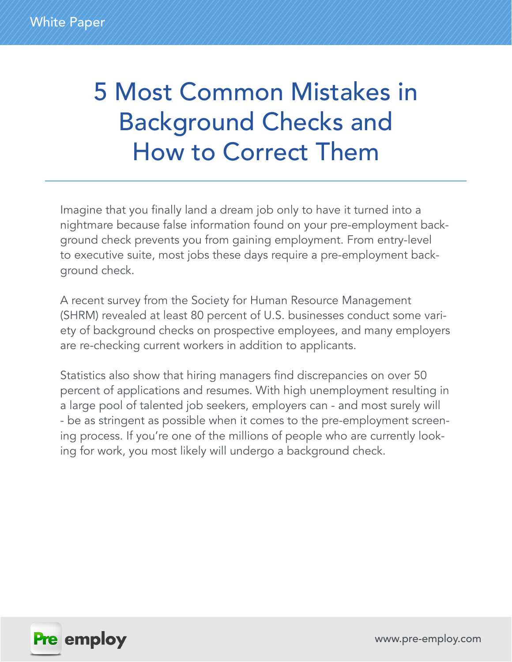# 5 Most Common Mistakes in Background Checks and How to Correct Them

Imagine that you finally land a dream job only to have it turned into a nightmare because false information found on your pre-employment background check prevents you from gaining employment. From entry-level to executive suite, most jobs these days require a pre-employment background check.

A recent survey from the Society for Human Resource Management (SHRM) revealed at least 80 percent of U.S. businesses conduct some variety of background checks on prospective employees, and many employers are re-checking current workers in addition to applicants.

Statistics also show that hiring managers find discrepancies on over 50 percent of applications and resumes. With high unemployment resulting in a large pool of talented job seekers, employers can - and most surely will - be as stringent as possible when it comes to the pre-employment screening process. If you're one of the millions of people who are currently looking for work, you most likely will undergo a background check.

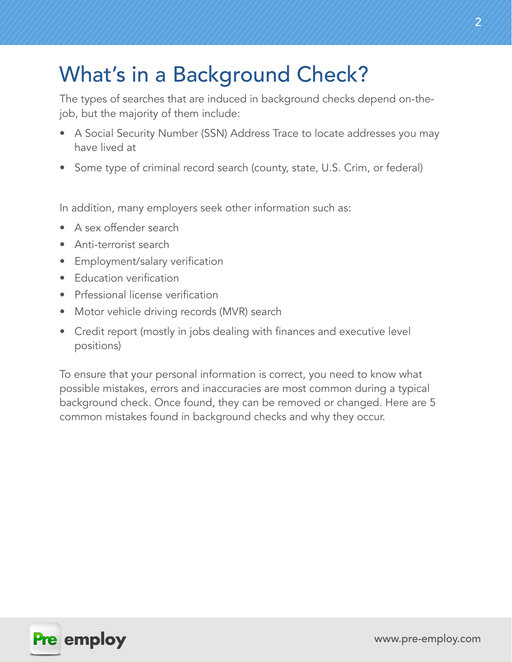## What's in a Background Check?

The types of searches that are induced in background checks depend on-thejob, but the majority of them include:

- A Social Security Number (SSN) Address Trace to locate addresses you may have lived at
- Some type of criminal record search (county, state, U.S. Crim, or federal)

In addition, many employers seek other information such as:

- A sex offender search
- Anti-terrorist search
- Employment/salary verification
- Education verification
- Prfessional license verification
- Motor vehicle driving records (MVR) search
- Credit report (mostly in jobs dealing with finances and executive level positions)

To ensure that your personal information is correct, you need to know what possible mistakes, errors and inaccuracies are most common during a typical background check. Once found, they can be removed or changed. Here are 5 common mistakes found in background checks and why they occur.

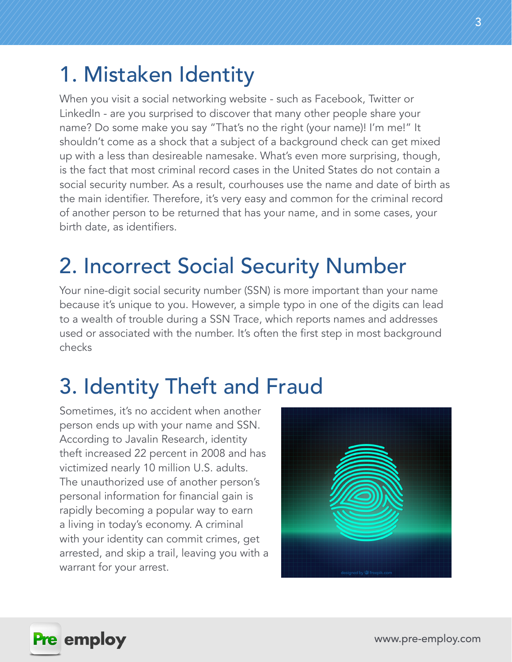### 1. Mistaken Identity

When you visit a social networking website - such as Facebook, Twitter or LinkedIn - are you surprised to discover that many other people share your name? Do some make you say "That's no the right (your name)! I'm me!" It shouldn't come as a shock that a subject of a background check can get mixed up with a less than desireable namesake. What's even more surprising, though, is the fact that most criminal record cases in the United States do not contain a social security number. As a result, courhouses use the name and date of birth as the main identifier. Therefore, it's very easy and common for the criminal record of another person to be returned that has your name, and in some cases, your birth date, as identifiers.

## 2. Incorrect Social Security Number

Your nine-digit social security number (SSN) is more important than your name because it's unique to you. However, a simple typo in one of the digits can lead to a wealth of trouble during a SSN Trace, which reports names and addresses used or associated with the number. It's often the first step in most background checks

## 3. Identity Theft and Fraud

Sometimes, it's no accident when another person ends up with your name and SSN. According to Javalin Research, identity theft increased 22 percent in 2008 and has victimized nearly 10 million U.S. adults. The unauthorized use of another person's personal information for financial gain is rapidly becoming a popular way to earn a living in today's economy. A criminal with your identity can commit crimes, get arrested, and skip a trail, leaving you with a warrant for your arrest.



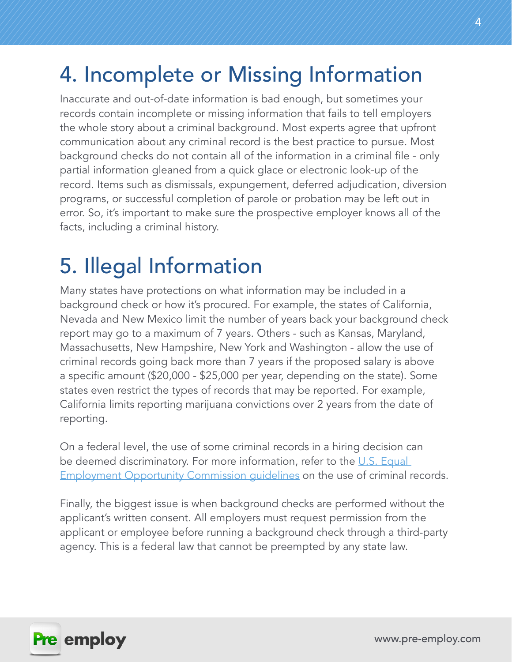## 4. Incomplete or Missing Information

Inaccurate and out-of-date information is bad enough, but sometimes your records contain incomplete or missing information that fails to tell employers the whole story about a criminal background. Most experts agree that upfront communication about any criminal record is the best practice to pursue. Most background checks do not contain all of the information in a criminal file - only partial information gleaned from a quick glace or electronic look-up of the record. Items such as dismissals, expungement, deferred adjudication, diversion programs, or successful completion of parole or probation may be left out in error. So, it's important to make sure the prospective employer knows all of the facts, including a criminal history.

### 5. Illegal Information

Many states have protections on what information may be included in a background check or how it's procured. For example, the states of California, Nevada and New Mexico limit the number of years back your background check report may go to a maximum of 7 years. Others - such as Kansas, Maryland, Massachusetts, New Hampshire, New York and Washington - allow the use of criminal records going back more than 7 years if the proposed salary is above a specific amount (\$20,000 - \$25,000 per year, depending on the state). Some states even restrict the types of records that may be reported. For example, California limits reporting marijuana convictions over 2 years from the date of reporting.

On a federal level, the use of some criminal records in a hiring decision can be deemed discriminatory. For more information, refer to the U.S. Equal **Employment Opportunity Commission quidelines on the use of criminal records.** 

Finally, the biggest issue is when background checks are performed without the applicant's written consent. All employers must request permission from the applicant or employee before running a background check through a third-party agency. This is a federal law that cannot be preempted by any state law.

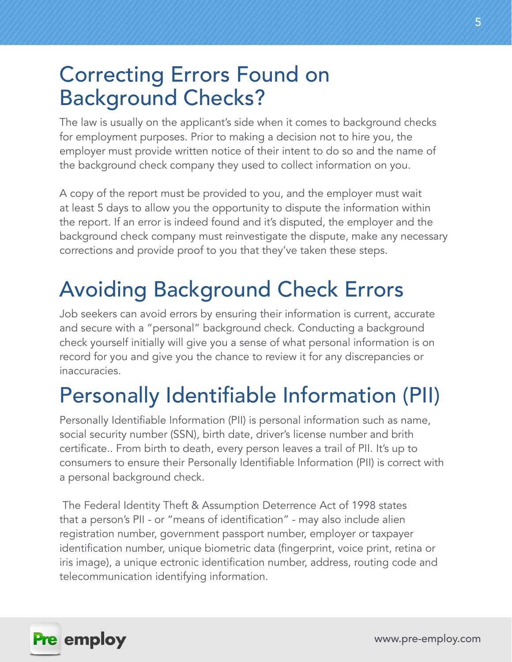## Correcting Errors Found on Background Checks?

The law is usually on the applicant's side when it comes to background checks for employment purposes. Prior to making a decision not to hire you, the employer must provide written notice of their intent to do so and the name of the background check company they used to collect information on you.

A copy of the report must be provided to you, and the employer must wait at least 5 days to allow you the opportunity to dispute the information within the report. If an error is indeed found and it's disputed, the employer and the background check company must reinvestigate the dispute, make any necessary corrections and provide proof to you that they've taken these steps.

# Avoiding Background Check Errors

Job seekers can avoid errors by ensuring their information is current, accurate and secure with a "personal" background check. Conducting a background check yourself initially will give you a sense of what personal information is on record for you and give you the chance to review it for any discrepancies or inaccuracies.

# Personally Identifiable Information (PII)

Personally Identifiable Information (PII) is personal information such as name, social security number (SSN), birth date, driver's license number and brith certificate.. From birth to death, every person leaves a trail of PII. It's up to consumers to ensure their Personally Identifiable Information (PII) is correct with a personal background check.

 The Federal Identity Theft & Assumption Deterrence Act of 1998 states that a person's PII - or "means of identification" - may also include alien registration number, government passport number, employer or taxpayer identification number, unique biometric data (fingerprint, voice print, retina or iris image), a unique ectronic identification number, address, routing code and telecommunication identifying information.

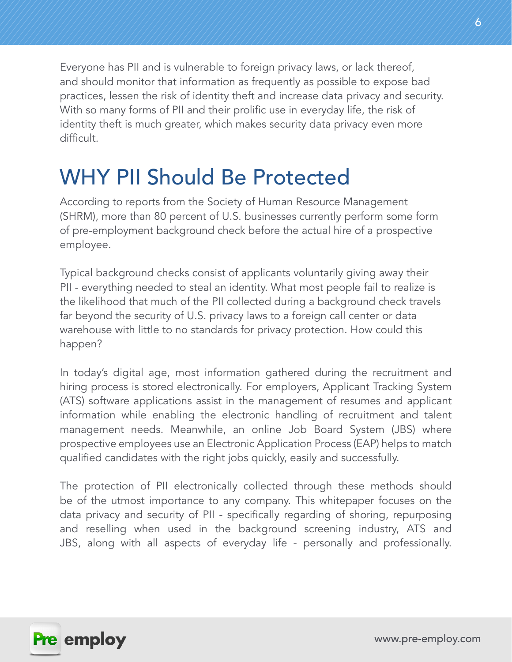Everyone has PII and is vulnerable to foreign privacy laws, or lack thereof, and should monitor that information as frequently as possible to expose bad practices, lessen the risk of identity theft and increase data privacy and security. With so many forms of PII and their prolific use in everyday life, the risk of identity theft is much greater, which makes security data privacy even more difficult.

## WHY PII Should Be Protected

According to reports from the Society of Human Resource Management (SHRM), more than 80 percent of U.S. businesses currently perform some form of pre-employment background check before the actual hire of a prospective employee.

Typical background checks consist of applicants voluntarily giving away their PII - everything needed to steal an identity. What most people fail to realize is the likelihood that much of the PII collected during a background check travels far beyond the security of U.S. privacy laws to a foreign call center or data warehouse with little to no standards for privacy protection. How could this happen?

In today's digital age, most information gathered during the recruitment and hiring process is stored electronically. For employers, Applicant Tracking System (ATS) software applications assist in the management of resumes and applicant information while enabling the electronic handling of recruitment and talent management needs. Meanwhile, an online Job Board System (JBS) where prospective employees use an Electronic Application Process (EAP) helps to match qualified candidates with the right jobs quickly, easily and successfully.

The protection of PII electronically collected through these methods should be of the utmost importance to any company. This whitepaper focuses on the data privacy and security of PII - specifically regarding of shoring, repurposing and reselling when used in the background screening industry, ATS and JBS, along with all aspects of everyday life - personally and professionally.

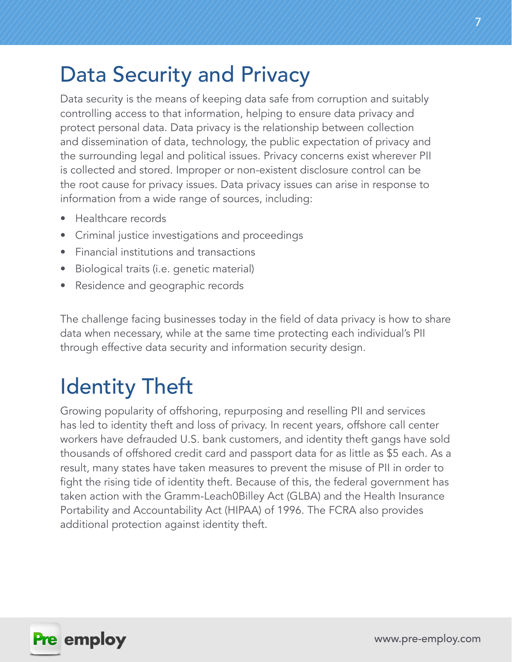## Data Security and Privacy

Data security is the means of keeping data safe from corruption and suitably controlling access to that information, helping to ensure data privacy and protect personal data. Data privacy is the relationship between collection and dissemination of data, technology, the public expectation of privacy and the surrounding legal and political issues. Privacy concerns exist wherever PII is collected and stored. Improper or non-existent disclosure control can be the root cause for privacy issues. Data privacy issues can arise in response to information from a wide range of sources, including:

- Healthcare records
- Criminal justice investigations and proceedings
- Financial institutions and transactions
- Biological traits (i.e. genetic material)
- Residence and geographic records

The challenge facing businesses today in the field of data privacy is how to share data when necessary, while at the same time protecting each individual's PII through effective data security and information security design.

# Identity Theft

Growing popularity of offshoring, repurposing and reselling PII and services has led to identity theft and loss of privacy. In recent years, offshore call center workers have defrauded U.S. bank customers, and identity theft gangs have sold thousands of offshored credit card and passport data for as little as \$5 each. As a result, many states have taken measures to prevent the misuse of PII in order to fight the rising tide of identity theft. Because of this, the federal government has taken action with the Gramm-Leach0Billey Act (GLBA) and the Health Insurance Portability and Accountability Act (HIPAA) of 1996. The FCRA also provides additional protection against identity theft.

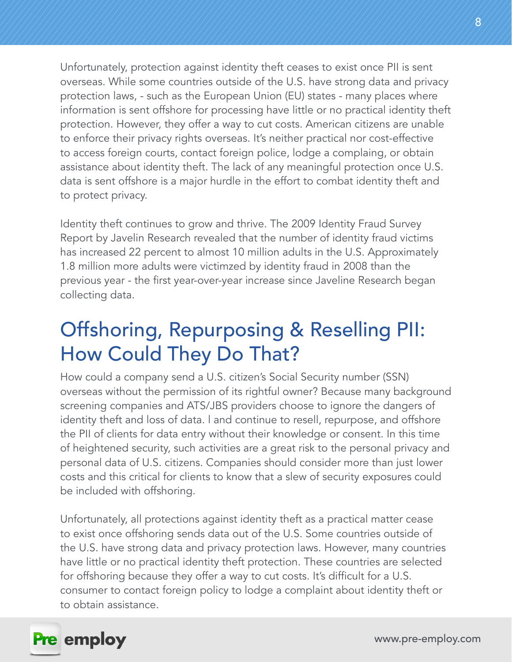Unfortunately, protection against identity theft ceases to exist once PII is sent overseas. While some countries outside of the U.S. have strong data and privacy protection laws, - such as the European Union (EU) states - many places where information is sent offshore for processing have little or no practical identity theft protection. However, they offer a way to cut costs. American citizens are unable to enforce their privacy rights overseas. It's neither practical nor cost-effective to access foreign courts, contact foreign police, lodge a complaing, or obtain assistance about identity theft. The lack of any meaningful protection once U.S. data is sent offshore is a major hurdle in the effort to combat identity theft and to protect privacy.

Identity theft continues to grow and thrive. The 2009 Identity Fraud Survey Report by Javelin Research revealed that the number of identity fraud victims has increased 22 percent to almost 10 million adults in the U.S. Approximately 1.8 million more adults were victimzed by identity fraud in 2008 than the previous year - the first year-over-year increase since Javeline Research began collecting data.

### Offshoring, Repurposing & Reselling PII: How Could They Do That?

How could a company send a U.S. citizen's Social Security number (SSN) overseas without the permission of its rightful owner? Because many background screening companies and ATS/JBS providers choose to ignore the dangers of identity theft and loss of data. l and continue to resell, repurpose, and offshore the PII of clients for data entry without their knowledge or consent. In this time of heightened security, such activities are a great risk to the personal privacy and personal data of U.S. citizens. Companies should consider more than just lower costs and this critical for clients to know that a slew of security exposures could be included with offshoring.

Unfortunately, all protections against identity theft as a practical matter cease to exist once offshoring sends data out of the U.S. Some countries outside of the U.S. have strong data and privacy protection laws. However, many countries have little or no practical identity theft protection. These countries are selected for offshoring because they offer a way to cut costs. It's difficult for a U.S. consumer to contact foreign policy to lodge a complaint about identity theft or to obtain assistance.

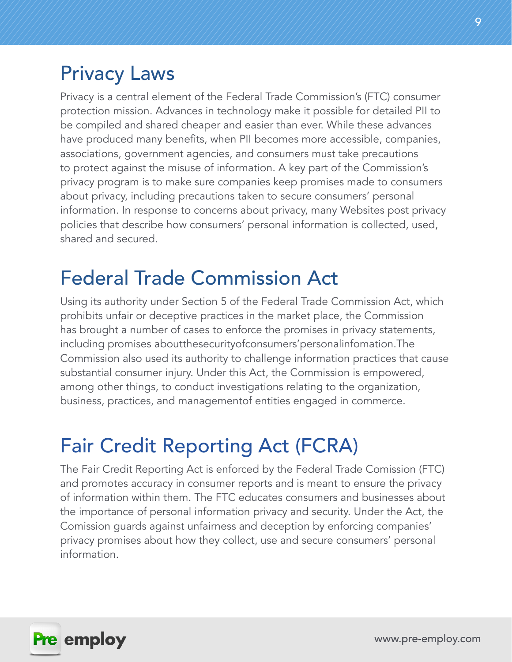### Privacy Laws

Privacy is a central element of the Federal Trade Commission's (FTC) consumer protection mission. Advances in technology make it possible for detailed PII to be compiled and shared cheaper and easier than ever. While these advances have produced many benefits, when PII becomes more accessible, companies, associations, government agencies, and consumers must take precautions to protect against the misuse of information. A key part of the Commission's privacy program is to make sure companies keep promises made to consumers about privacy, including precautions taken to secure consumers' personal information. In response to concerns about privacy, many Websites post privacy policies that describe how consumers' personal information is collected, used, shared and secured.

### Federal Trade Commission Act

Using its authority under Section 5 of the Federal Trade Commission Act, which prohibits unfair or deceptive practices in the market place, the Commission has brought a number of cases to enforce the promises in privacy statements, including promises aboutthesecurityofconsumers'personalinfomation.The Commission also used its authority to challenge information practices that cause substantial consumer injury. Under this Act, the Commission is empowered, among other things, to conduct investigations relating to the organization, business, practices, and managementof entities engaged in commerce.

### Fair Credit Reporting Act (FCRA)

The Fair Credit Reporting Act is enforced by the Federal Trade Comission (FTC) and promotes accuracy in consumer reports and is meant to ensure the privacy of information within them. The FTC educates consumers and businesses about the importance of personal information privacy and security. Under the Act, the Comission guards against unfairness and deception by enforcing companies' privacy promises about how they collect, use and secure consumers' personal information.

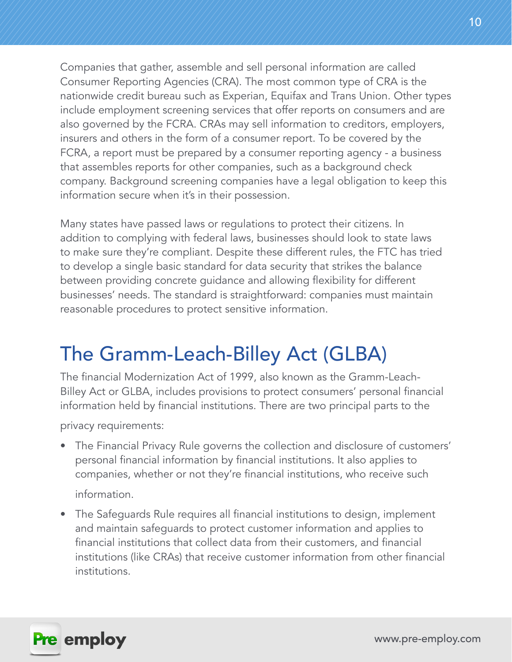Companies that gather, assemble and sell personal information are called Consumer Reporting Agencies (CRA). The most common type of CRA is the nationwide credit bureau such as Experian, Equifax and Trans Union. Other types include employment screening services that offer reports on consumers and are also governed by the FCRA. CRAs may sell information to creditors, employers, insurers and others in the form of a consumer report. To be covered by the FCRA, a report must be prepared by a consumer reporting agency - a business that assembles reports for other companies, such as a background check company. Background screening companies have a legal obligation to keep this information secure when it's in their possession.

Many states have passed laws or regulations to protect their citizens. In addition to complying with federal laws, businesses should look to state laws to make sure they're compliant. Despite these different rules, the FTC has tried to develop a single basic standard for data security that strikes the balance between providing concrete guidance and allowing flexibility for different businesses' needs. The standard is straightforward: companies must maintain reasonable procedures to protect sensitive information.

### The Gramm-Leach-Billey Act (GLBA)

The financial Modernization Act of 1999, also known as the Gramm-Leach-Billey Act or GLBA, includes provisions to protect consumers' personal financial information held by financial institutions. There are two principal parts to the

privacy requirements:

• The Financial Privacy Rule governs the collection and disclosure of customers' personal financial information by financial institutions. It also applies to companies, whether or not they're financial institutions, who receive such

information.

• The Safeguards Rule requires all financial institutions to design, implement and maintain safeguards to protect customer information and applies to financial institutions that collect data from their customers, and financial institutions (like CRAs) that receive customer information from other financial institutions.

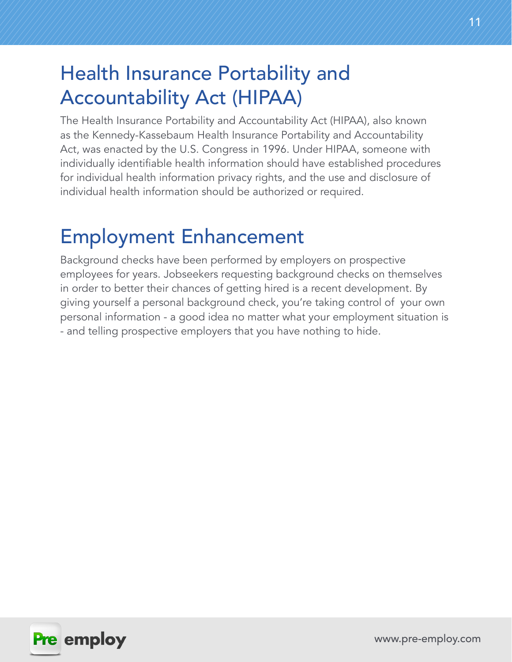### Health Insurance Portability and Accountability Act (HIPAA)

The Health Insurance Portability and Accountability Act (HIPAA), also known as the Kennedy-Kassebaum Health Insurance Portability and Accountability Act, was enacted by the U.S. Congress in 1996. Under HIPAA, someone with individually identifiable health information should have established procedures for individual health information privacy rights, and the use and disclosure of individual health information should be authorized or required.

### Employment Enhancement

Background checks have been performed by employers on prospective employees for years. Jobseekers requesting background checks on themselves in order to better their chances of getting hired is a recent development. By giving yourself a personal background check, you're taking control of your own personal information - a good idea no matter what your employment situation is - and telling prospective employers that you have nothing to hide.